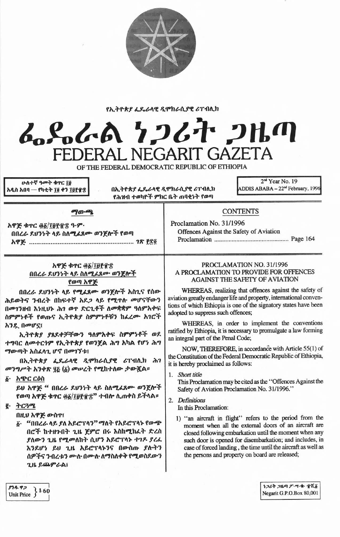

## የኢትዮጵያ ፌዴራላዊ ዲሞክራሲያዊ ሪፐብሲክ



OF THE FEDERAL DEMOCRATIC REPUBLIC OF ETHIOPIA

ሁለተኛ ዓመት ቁዋር ፲፱ አዲስ አበባ — የካቲት ፲፬ ቀን ፲፱፻፹፰

በኢትዮጵያ ፌዴራላዊ ዲሞክራሲያዊ ሪፐብሊክ የሕዝብ ተወካዮች ምክር ቤት ጠባቂነት የወጣ

2<sup>nd</sup> Year No. 19 ADDIS ABABA - 22<sup>nd</sup> February, 1996

አዋጅ ቁጥር ወ፩/፲፱፻፹፰ ዓ.ም. በበረራ ደህንነት ላይ ስለሚፈጸሙ ወንጀሎች የወጣ 

ுற-ஆ

## አዋጅ ቁጥር ፴፩/፲፱፻፹፰ በበረራ ዶህንነት ላይ ስለሚፈጸሙ ወንጀሎች የወጣ አዋጅ

በበረራ ደህንነት ላይ የሚፈጸሙ ወንጀሎች አስጊና የሰው ሕይወትና ንብረት በከፍተኛ አደጋ ላይ የሚዋሉ መሆናቸውን በመገንዘብ እንዚህኑ ሕገ ወዋ ድርጊቶች ለመቋቋም ዓለምአቀፍ ስምምነቶች የወጡና ኢትዮጵያ ስምምነቶቹን ከፈረሙ አገሮች አንዴ በመሆኗ፤

ኢትዮጵያ ያጸደቀቻቸውን ዓለምአቀፍ ስምምነቶች ወደ ተግባር ለመተርጎም የኢትዮጵያ የወንጀል ሕግ አካል የሆነ ሕግ ማውጣት አስፈላጊ ሆኖ በመገኘቱ፤

በኢትዮጵያ ፌዴራላዊ ዲሞክራሲያዊ ሪፐብሊክ ሕገ መንግሥት አንቀጽ ፶፩ (፩) መሠረት የሚከተለው ታውጇል።

#### ፩· አጭር ርዕስ

ይህ አዋጅ " በበረራ ደህንነት ላይ ስለሚፈጸሙ ወንጀሎች የወጣ አዋጅ ቁጥር ፴፩/፲፱፻፹፰" ተብሎ ሲጠቀስ ይችላል።

# $g.$   $\rightarrow$   $C3$ <sup> $q$ </sup>

በዚህ አዋጅ ውስጥ፤

፩· "በበረራ ላይ ያለ አይሮፕላን" ማለት የአይሮፕላኑ የውጭ በሮች ከተዘጉበት ጊዜ ጀምሮ በሩ እስከሚከፈት ድረስ ያለውን ጊዜ የሚመለከት ሲሆን አይሮፕላኑ ተገዶ ያረፌ እንደሆነ ይህ ጊዜ አይሮፕላኑንና በውስጡ ያሱትን ሰዎችና ንብረቱን ሙሉ በሙሉ ለማስለቀቅ የሚወስደውን ጊዜ ይጨምራል፤

### PROCLAMATION NO. 31/1996 A PROCLAMATION TO PROVIDE FOR OFFENCES **AGAINST THE SAFETY OF AVIATION**

**CONTENTS** 

Offences Against the Safety of Aviation

Proclamation No. 31/1996

WHEREAS, realizing that offences against the safety of aviation greatly endanger life and property, international conventions of which Ethiopia is one of the signatory states have been adopted to suppress such offences;

WHEREAS, in order to implement the conventions ratified by Ethiopia, it is necessary to promulgate a law forming an integral part of the Penal Code;

NOW, THEREFORE, in accordance with Article 55(1) of the Constitution of the Federal Democratic Republic of Ethiopia, it is hereby proclaimed as follows:

1. Short title

This Proclamation may be cited as the "Offences Against the Safety of Aviation Proclamation No. 31/1996."

2. Definitions

In this Proclamation:

1) "an aircraft in flight" refers to the period from the moment when all the external doors of an aircraft are closed following embarkation until the moment when any such door is opened for disembarkation; and includes, in case of forced landing, the time until the aircraft as well as the persons and property on board are released;

| ያንዱ ዋጋ     |      |
|------------|------|
| Unit Price | 3.60 |

うつんそ つルの ブ・ツ・キ・ すべる Negarit G.P.O.Box 80,001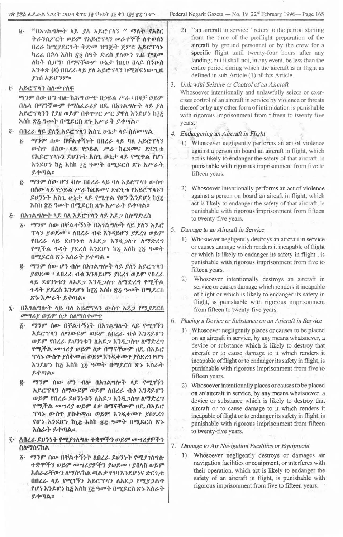- <mark>g. "በአገልግሎት ላይ ያለ አይሮ</mark>ፐላን " <mark>ማለት የአየር</mark> ትራንስፖርት ወይም የአይሮፕላን **ሥራተኞች ስተወሰ**ን በረራ ከሚያደርጉት ቅድመ ዝግጅት ጀምሮ **አይሮ**ፕ**ላ**ኑ t}~&. O~It hhh tl'!! (}~..,. *1:~h fitw-1 iA' ~~oo* ለከት ሲሆን፡ በማናቸውም ሁኔታ ከዚህ በላይ በን<u>ዑስ</u> *h"}"'~ (ii)* Oo~~ Itf. *fit h~t:Tlt1* h"t(fCj:~w- 1.11. *f~(}* h~If"}9"::
- <u>፫· አይሮፕላን ስለመዋለፍ</u>
	- 67"}9"(}w-If")111\-*hib..,* 0Jdi.bO~~A *rt.* f olJEF *OJ~9"* 0/\.1\ 067"}~W-9" *f"'1h&.~tf* n1.. 0,~1A"'I\-.} Itf. *fit* h~C'TIt"}"}rfn *OJ~9"*Ock1'1'Crc *fTit* h,}~If~ hI~ እስከ ፳፭ ዓመት በሚደርስ ጽ*ኑ እሥራት ይቀ*ጣል።
- ፬· በበረራ ሳይ ያለን አይሮፕሳን አስጊ ሁኔታ ሳይ ስለመጣል
	- $\delta$ <sup>.</sup> ማንም ሰው በቸልተኝነት በበረራ ላይ ባለ አይሮፕላን *ውስ*ዋ በሰው ላይ የኃይል ሥራ ከፊጸመና ድርጊቱ የአይሮፕላኑን ደሀንነት እስጊ ሁኔታ ላይ የሚተል የሆነ h"}f.lf~ h~ hhh I~ *'00"".* ODt~cil '~~ *hP'~""'~* ~+lIJA:: , - ,
	- ~- 67"}9" it If"} "'1\- OO~~ It~ *l}it hf.C'TIt'}w-h-r* , ", . , ,.".. በሰው ላይ የኃይል ሥራ ከፈጸመና ድርጊቱ የአይሮፕላኑን .ዶሀንንት አስጊ ሁኔታ ላይ የሚ**ተል የሆነ እንደሆ**ነ ከ፲፭<br>እስከ ፳፭ ዓመት በሚደርስ ጽኑ እሥራት ይቀጣል።
- *hhh ti~ ~OO..,.*O~C~ ~~ hr *t-""* ~"'lIJA:: <u>ሯ፦ በአንልግሎተ ላይ ባለ አይሮፕላን ላይ አዶጋ ስለማድረር</u>
	- $i$ <sup>2</sup>· ማንም ሰው በቸልተኝነት በአንልግሎት ላይ ያለን አይሮ Tit"} *fOJf.o;io'f* I\0~t- 11" ~"}~~If"} *f"~1 OJ~9"* fO~~ Itf. ~tI"}~i: *ith~~ h1Jt~it1' I\671:l...,* f**ሚችል ጉዳት ያደረሰ እንደሆነ ከ**፩ እስከ ፲፩ ዓመት በ*ሚ*ደርስ ጽኑ እስራት ይቀጣል ፡፡
	- $E 979$  ሰው ሆን ብሎ በአ*ገ*ልግሎት ላይ ያለን አይሮፕላን *fOJ~oo* t *itO~t-* l1ck h1~J.!.1f1 *f1.?1 OJf.9"* fOl.~ I\~ ~tl1~i:1 *ith~~ h1Jt~it-r itolf1:~'"* fDt":fA ~..,. *1~t:.(}*h1~1f~ hI~ *hilh ti~ ~oo+* ODt~Ch  $8 + \lambda \mu$ ራት ይቀጣል።
- በአ*ገ*ልግሎት ላይ ባለ አይሮፕላን ውስተ አደ*ጋ የሚያ*ደርስ I *oo",tf OJ~9"* /J? *hit67h+oo.p* ,
	- $\tilde{\varrho}$ · *ማንም* ሰው በቸልተኝንት በአ*ገ*ልግሎት ላይ የሚገኝን *አ*ይሮፕላን ለማውደም ወይም ለበረራ ብቁ እንዳይሆን *OJ~9"* fO~t- *~tl1~i:1ith~~ h1Jt~I\-r it671:~'"* የሚችል መሣሪያ ወይም <u>ዕቃ በማናቸውም ዘ</u>ዴ በአይሮ ፕሳኑ ውስ**ተ ያስቀመጠ ወይም እ**ንዲቀመዋ ያስደረገ የሆነ h1~1f~ h~ *hilh it;.~~..,.* ri"t~Ch' *"1t~"hitt-~ ~+lIJ/.\::"*
	- $E 979$  ሰው ሆን ብሎ በአገልግሎት ላይ የሚገኝን *አ*ይሮፕላን ለማውደም ወይም ለበረራ ብቁ እንዳይሆን ወይም የበረራ **ደሀንነቱን ለአደ***ጋ* **እንዲ**ጋስዋ ስማድረግ የሚችል *መሣሪያ ወይም ዕቃ በማናቸውም ዘ*ዴ በአይሮ Tit);>;m-h,-, *l,il+f!'ftn OJf.1]"~1Jt+(ID-rf~~1* fሆ*ነ እን*ደሆነ ከ፲፭ እስከ ፳፭ ዓመት በሚደርስ ጽኑ *<i>እስ***ራት ይቀ**ጣል።
- $\bar{a}$  . ለበረራ ደህንነት የሚያገለግሉ ተቋሞችን ወይም መሣሪያዎችን ilitolf(t'ih/.\' . , . . ',' ,
	- *ማንም ሰው በቸልተኝነት ለበረራ ዶህንነት የሚያገለግ*ሎ .,.\*IfD":f1*OJ~9"00",tf91":f1 fOJ1.oo* . fOlt(f *OJ~9" h(a~~TW-1it67(a'ihA lIJ/.\?* f1l} h11.1f~'i *1:C1.i:* በበረራ ላይ የሚገኝን አይሮፕላን ለአደ*ጋ የሚያጋ*ልተ የሆን እንደሆን ከ፩ እስከ ፲፩ ዓመት በሚደርስ ጽኑ አስራት  $R + \eta \wedge$ ።

1ጽ f:s?<sub>6</sub> ፌዴ-ራል *ነ ጋ*ሪት ጋዜጣ ቁዋር ፲፱ የካቲት ፲፬ ቀን ፲፱፻፹፰ ዓ·ም· Federal Negarit Gazeta — No. 19 22<sup>nd</sup> February 1996— Page 165

- 2) "an aircraft in service" refers to the period starting from the time of the preflight preparation of the aircraft by ground personnel or by the crew for a specific flight until twenty-four hours after any landing; but it shall not, in any event, be less than the entire period during which the aircraft is in flight as defined in sub-Article (1) of this Article.
- 3. *Unlawful Seizure or Control* of *an Aircraft*

Whosoever intentionally and unlawfully seizes or exercises cortrol of an aircraft in service by violence or threats thereof or by any other form of intimidation is punishable with rigorous imprisonment from fifteen to twenty-five years.

- 4. Endangering an Aircraft in Flight
- 4. Engangering an *Alteration in Fight* 1) whosoever negligently performs all act of violence against a person on board an aircraft in flight, which act is likely to endanger the safety of that aircraft, is punishable with rigorous imprisonment from five to fifteen years.
	- 2) Whosoever intentionally performs an act of violence against a person on board 'an aircaft in flight, which act is likely to endanger the safety of that aircraft, is punishable with rigorous imprisonment from fifteen to twenty-five years.
- 5. Damage to an Aircraft in Service
	- 1) Whosoever negligently destroys an aircraft in service or causes damage which renders it incapable of flight or which is likely to endanger its safety in flight, is punishable with rigorous imprisonment from five to fifteen years.
	- 2) Whosoever intentionally destroys an aircraft in service or causes damage which renders it incapable of flight or which is likely to endanger its safety in flight, is punishable with rigorous imprisonment from fifteen to twenty-five years.
- 6. *PlacingaDevice or Substanceon anAricraftin Ser,vice*
	- 1) Whosoever negligently places or causes to be placed on an aircraft in service, by any means whatsoever, a device or substance which is likely to destroy that aircraft or to cause damage to it which renders it incapable of flight or to endanger its safety in flight, is punishable with rigorous imprisonment from five to fifteen years.
	- 2) Whosoever intentionally places or causes to be placed on an'aircraft in service, by any means whatsoever, a device or substance which is likely to destroy that aircraft or to cause damage to it which renders it incapable of flight or to endanger its safety in flight, is punishable with rigorous imprisonment from fifteen to twenty-five years.

# 7. Damage to Air Navigation Facilities or Equipment

1) Whosoever negligently destroys or damages air navigation facilities or equipment, or interferes with their operation, which act is likely to endanger the safety of an aircraft in flight, is punishable with rigorous imprisonment from five to fifteen years.